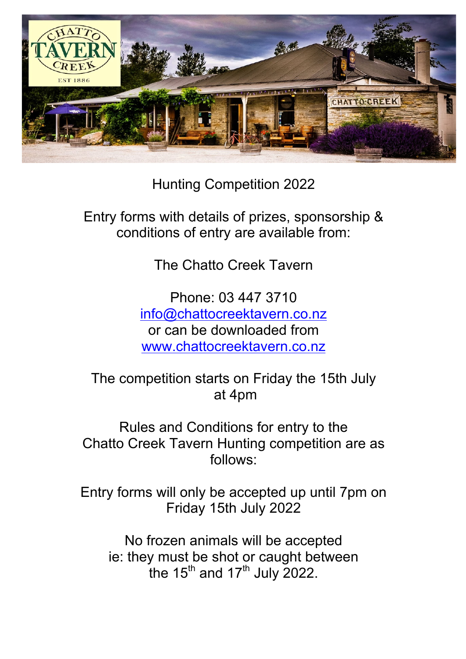

Hunting Competition 2022

Entry forms with details of prizes, sponsorship & conditions of entry are available from:

The Chatto Creek Tavern

Phone: 03 447 3710 info@chattocreektavern.co.nz or can be downloaded from www.chattocreektavern.co.nz

The competition starts on Friday the 15th July at 4pm

Rules and Conditions for entry to the Chatto Creek Tavern Hunting competition are as follows:

Entry forms will only be accepted up until 7pm on Friday 15th July 2022

No frozen animals will be accepted ie: they must be shot or caught between the  $15<sup>th</sup>$  and  $17<sup>th</sup>$  July 2022.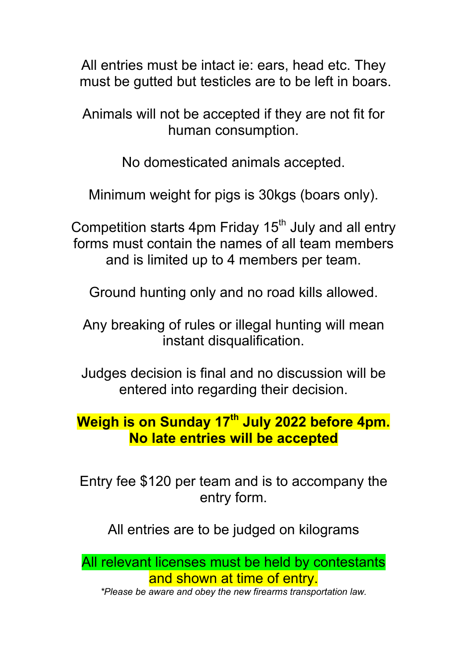All entries must be intact ie: ears, head etc. They must be gutted but testicles are to be left in boars.

Animals will not be accepted if they are not fit for human consumption.

No domesticated animals accepted.

Minimum weight for pigs is 30kgs (boars only).

Competition starts 4pm Friday  $15<sup>th</sup>$  July and all entry forms must contain the names of all team members and is limited up to 4 members per team.

Ground hunting only and no road kills allowed.

Any breaking of rules or illegal hunting will mean instant disqualification.

Judges decision is final and no discussion will be entered into regarding their decision.

## **Weigh is on Sunday 17th July 2022 before 4pm. No late entries will be accepted**

Entry fee \$120 per team and is to accompany the entry form.

All entries are to be judged on kilograms

All relevant licenses must be held by contestants and shown at time of entry.

*\*Please be aware and obey the new firearms transportation law.*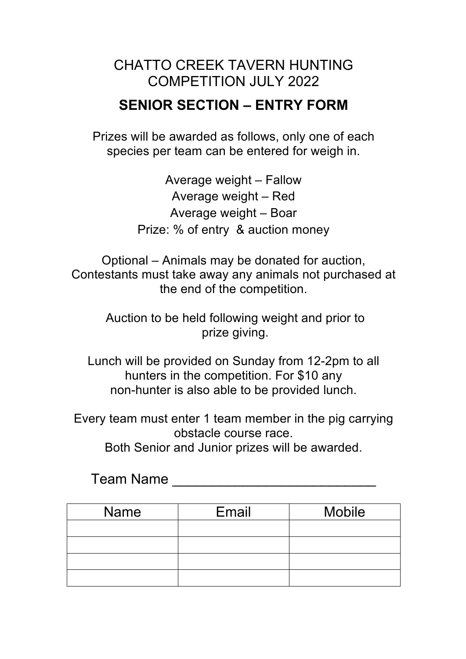#### CHATTO CREEK TAVERN HUNTING COMPETITION JULY 2022

## **SENIOR SECTION – ENTRY FORM**

Prizes will be awarded as follows, only one of each species per team can be entered for weigh in.

> Average weight – Fallow Average weight – Red Average weight – Boar Prize: % of entry & auction money

Optional – Animals may be donated for auction, Contestants must take away any animals not purchased at the end of the competition.

> Auction to be held following weight and prior to prize giving.

Lunch will be provided on Sunday from 12-2pm to all hunters in the competition. For \$10 any non-hunter is also able to be provided lunch.

Every team must enter 1 team member in the pig carrying obstacle course race.

Both Senior and Junior prizes will be awarded.

Team Name **Law and Search Structure 10** 

| <b>Name</b> | Email | <b>Mobile</b> |
|-------------|-------|---------------|
|             |       |               |
|             |       |               |
|             |       |               |
|             |       |               |